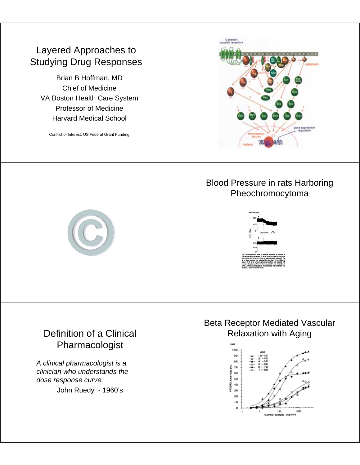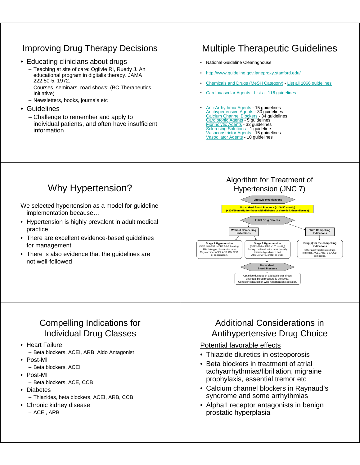## Improving Drug Therapy Decisions

- Educating clinicians about drugs
	- Teaching at site of care: Ogilvie RI, Ruedy J. An educational program in digitalis therapy. JAMA 222:50-5, 1972.
	- Courses, seminars, road shows: (BC Therapeutics Initiative)
	- Newsletters, books, journals etc
- Guidelines
	- Challenge to remember and apply to individual patients, and often have insufficient information

# Multiple Therapeutic Guidelines

- National Guideline Clearinghouse
- http://www.guideline.gov.laneproxy.stanford.edu/
- Chemicals and Drugs (MeSH Category) List all 1066 guidelines
- Cardiovascular Agents List all 116 guidelines
- Anti-Arrhythmia Agents 15 guidelines Antihypertensive Agents 30 guidelines Calcium Channel Blockers 34 guidelines Cardiotonic Agents - 5 guidelines Fibrinolytic Agents - 32 guidelines Sclerosing Solutions - 1 guideline Vasoconstrictor Agents - 15 guidelines Vasodilator Agents - 10 guidelines

## Why Hypertension?

We selected hypertension as a model for guideline implementation because…

- Hypertension is highly prevalent in adult medical practice
- There are excellent evidence-based guidelines for management
- There is also evidence that the guidelines are not well-followed

### Compelling Indications for Individual Drug Classes

- Heart Failure
	- Beta blockers, ACEI, ARB, Aldo Antagonist
- Post-MI
	- Beta blockers, ACEI
- Post-MI
	- Beta blockers, ACE, CCB
- Diabetes
	- Thiazides, beta blockers, ACEI, ARB, CCB
- Chronic kidney disease – ACEI, ARB

#### Algorithm for Treatment of Hypertension (JNC 7)



### Additional Considerations in Antihypertensive Drug Choice

#### Potential favorable effects

- Thiazide diuretics in osteoporosis
- Beta blockers in treatment of atrial tachyarrhythmias/fibrillation, migraine prophylaxis, essential tremor etc
- Calcium channel blockers in Raynaud's syndrome and some arrhythmias
- Alpha1 receptor antagonists in benign prostatic hyperplasia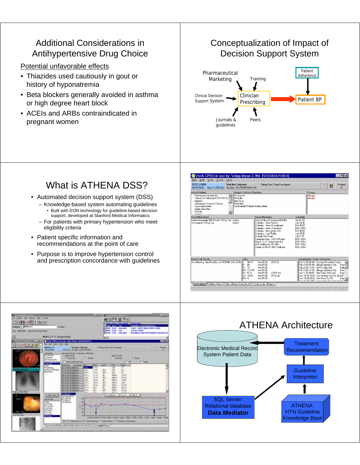#### Additional Considerations in Antihypertensive Drug Choice

Potential unfavorable effects

- Thiazides used cautiously in gout or history of hyponatremia
- Beta blockers generally avoided in asthma or high degree heart block
- ACEIs and ARBs contraindicated in pregnant women

#### Conceptualization of Impact of Decision Support System



# What is ATHENA DSS?

- Automated decision support system (DSS)
	- Knowledge-based system automating guidelines • Built with EON technology for guideline-based decision support, developed at Stanford Medical Informatics
	- For patients with primary hypertension who meet eligibility criteria
- Patient specific information and recommendations at the point of care
- Purpose is to improve hypertension control and prescription concordance with guidelines





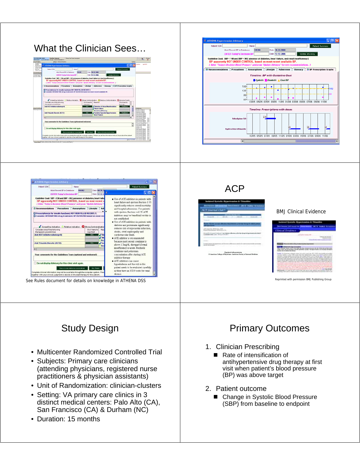







#### BMJ Clinical Evidence

## Study Design

- Multicenter Randomized Controlled Trial
- Subjects: Primary care clinicians (attending physicians, registered nurse practitioners & physician assistants)
- Unit of Randomization: clinician-clusters
- Setting: VA primary care clinics in 3 distinct medical centers: Palo Alto (CA), San Francisco (CA) & Durham (NC)
- Duration: 15 months

## Primary Outcomes

#### 1. Clinician Prescribing

- Rate of intensification of antihypertensive drug therapy at first visit when patient's blood pressure (BP) was above target
- 2. Patient outcome
	- Change in Systolic Blood Pressure (SBP) from baseline to endpoint